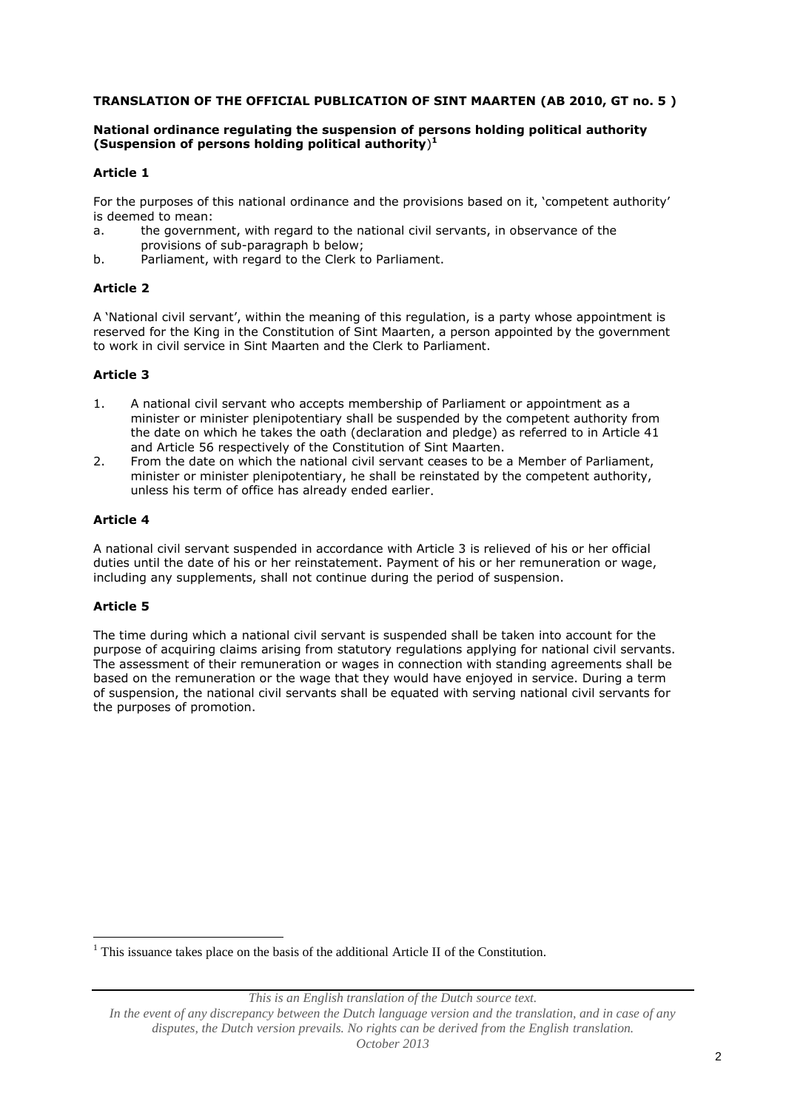### **TRANSLATION OF THE OFFICIAL PUBLICATION OF SINT MAARTEN (AB 2010, GT no. 5 )**

### **National ordinance regulating the suspension of persons holding political authority (Suspension of persons holding political authority**) **1**

### **Article 1**

For the purposes of this national ordinance and the provisions based on it, 'competent authority' is deemed to mean:

- a. the government, with regard to the national civil servants, in observance of the provisions of sub-paragraph b below;
- b. Parliament, with regard to the Clerk to Parliament.

# **Article 2**

A 'National civil servant', within the meaning of this regulation, is a party whose appointment is reserved for the King in the Constitution of Sint Maarten, a person appointed by the government to work in civil service in Sint Maarten and the Clerk to Parliament.

### **Article 3**

- 1. A national civil servant who accepts membership of Parliament or appointment as a minister or minister plenipotentiary shall be suspended by the competent authority from the date on which he takes the oath (declaration and pledge) as referred to in Article 41 and Article 56 respectively of the Constitution of Sint Maarten.
- 2. From the date on which the national civil servant ceases to be a Member of Parliament, minister or minister plenipotentiary, he shall be reinstated by the competent authority, unless his term of office has already ended earlier.

# **Article 4**

A national civil servant suspended in accordance with Article 3 is relieved of his or her official duties until the date of his or her reinstatement. Payment of his or her remuneration or wage, including any supplements, shall not continue during the period of suspension.

# **Article 5**

<u>.</u>

The time during which a national civil servant is suspended shall be taken into account for the purpose of acquiring claims arising from statutory regulations applying for national civil servants. The assessment of their remuneration or wages in connection with standing agreements shall be based on the remuneration or the wage that they would have enjoyed in service. During a term of suspension, the national civil servants shall be equated with serving national civil servants for the purposes of promotion.

 $<sup>1</sup>$  This issuance takes place on the basis of the additional Article II of the Constitution.</sup>

*This is an English translation of the Dutch source text.*

*In the event of any discrepancy between the Dutch language version and the translation, and in case of any disputes, the Dutch version prevails. No rights can be derived from the English translation. October 2013*